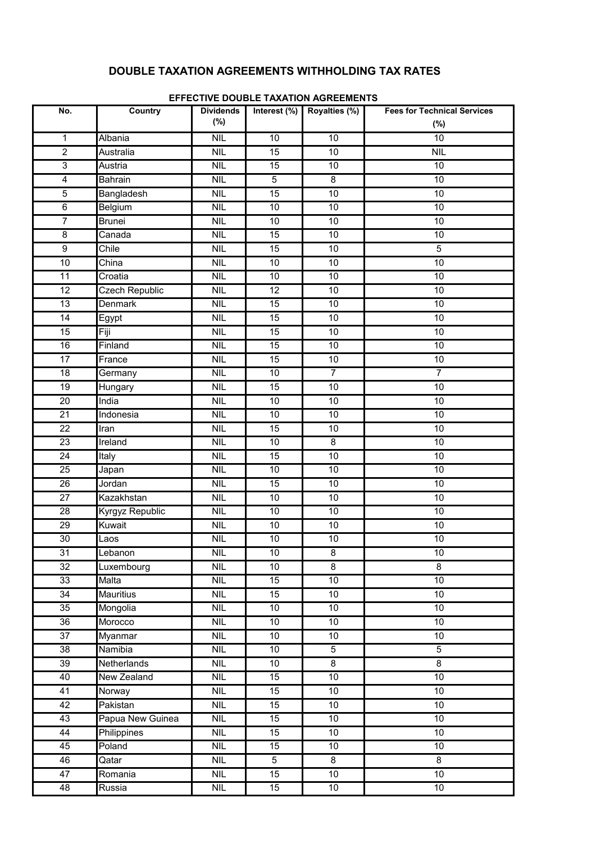# **DOUBLE TAXATION AGREEMENTS WITHHOLDING TAX RATES**

| No.                     | <b>Country</b>        | <b>Dividends</b>            | Interest (%)    | Royalties (%)   | <b>Fees for Technical Services</b> |
|-------------------------|-----------------------|-----------------------------|-----------------|-----------------|------------------------------------|
|                         |                       | $(\%)$                      |                 |                 | $(\%)$                             |
| $\mathbf{1}$            | Albania               | <b>NIL</b>                  | 10              | 10              | 10                                 |
| $\overline{2}$          | Australia             | <b>NIL</b>                  | 15              | 10              | <b>NIL</b>                         |
| 3                       | Austria               | <b>NIL</b>                  | 15              | 10              | 10                                 |
| $\overline{\mathbf{4}}$ | <b>Bahrain</b>        | <b>NIL</b>                  | 5               | 8               | $10$                               |
| 5                       | Bangladesh            | <b>NIL</b>                  | $\overline{15}$ | 10              | 10                                 |
| 6                       | Belgium               | <b>NIL</b>                  | 10              | $10$            | 10                                 |
| $\overline{7}$          | <b>Brunei</b>         | <b>NIL</b>                  | 10              | $10$            | 10                                 |
| 8                       | Canada                | <b>NIL</b>                  | 15              | 10              | $10$                               |
| 9                       | Chile                 | <b>NIL</b>                  | 15              | 10              | 5                                  |
| 10                      | China                 | <b>NIL</b>                  | 10              | 10              | $10$                               |
| 11                      | Croatia               | <b>NIL</b>                  | 10              | $10$            | 10                                 |
| 12                      | <b>Czech Republic</b> | <b>NIL</b>                  | 12              | 10              | $10$                               |
| 13                      | Denmark               | <b>NIL</b>                  | 15              | 10              | 10                                 |
| 14                      | Egypt                 | <b>NIL</b>                  | 15              | 10              | 10                                 |
| 15                      | Fiji                  | <b>NIL</b>                  | 15              | $10$            | 10                                 |
| 16                      | Finland               | <b>NIL</b>                  | 15              | 10              | $10$                               |
| 17                      | France                | <b>NIL</b>                  | 15              | 10              | 10                                 |
| 18                      | Germany               | <b>NIL</b>                  | 10              | $\overline{7}$  | $\overline{7}$                     |
| 19                      | Hungary               | <b>NIL</b>                  | 15              | $10$            | 10                                 |
| 20                      | India                 | <b>NIL</b>                  | 10              | 10              | $10$                               |
| 21                      | Indonesia             | <b>NIL</b>                  | 10              | 10              | 10                                 |
| 22                      | Iran                  | <b>NIL</b>                  | 15              | 10              | 10                                 |
| 23                      | Ireland               | <b>NIL</b>                  | 10              | 8               | 10                                 |
| 24                      | Italy                 | <b>NIL</b>                  | 15              | $10$            | $10$                               |
| 25                      | Japan                 | <b>NIL</b>                  | 10              | 10              | 10                                 |
| 26                      | Jordan                | <b>NIL</b>                  | 15              | 10              | 10                                 |
| 27                      | Kazakhstan            | <b>NIL</b>                  | 10              | 10              | 10                                 |
| 28                      | Kyrgyz Republic       | <b>NIL</b>                  | 10              | $10$            | 10                                 |
| 29                      | Kuwait                | <b>NIL</b>                  | 10              | 10              | 10                                 |
| 30                      | Laos                  | <b>NIL</b>                  | 10 <sub>1</sub> | 10              | $10$                               |
| 31                      | Lebanon               | <b>NIL</b>                  | 10              | 8               | 10                                 |
| 32                      | Luxembourg            | <b>NIL</b>                  | 10              | 8               | $\overline{8}$                     |
| 33                      | Malta                 | <b>NIL</b>                  | 15              | $\overline{10}$ | $\overline{10}$                    |
| 34                      | <b>Mauritius</b>      | <b>NIL</b>                  | 15              | $10$            | $10$                               |
| 35                      | Mongolia              | <b>NIL</b>                  | 10              | 10              | 10                                 |
| 36                      | Morocco               | <b>NIL</b>                  | 10 <sup>°</sup> | 10              | 10                                 |
| 37                      | Myanmar               | <b>NIL</b>                  | 10              | 10              | 10                                 |
| 38                      | <b>Namibia</b>        | <b>NIL</b>                  | 10              | $\sqrt{5}$      | $\overline{5}$                     |
| 39                      | Netherlands           | <b>NIL</b>                  | 10              | $\overline{8}$  | $\overline{\mathbf{8}}$            |
| 40                      | <b>New Zealand</b>    | <b>NIL</b>                  | 15              | $\overline{10}$ | 10                                 |
| 41                      | Norway                | <b>NIL</b>                  | 15              | $10$            | 10                                 |
| 42                      | Pakistan              | <b>NIL</b>                  | 15              | $10\,$          | $10$                               |
| 43                      | Papua New Guinea      | <b>NIL</b>                  | 15              | 10              | 10                                 |
| 44                      | <b>Philippines</b>    | <b>NIL</b>                  | 15              | 10              | $10$                               |
| 45                      | Poland                | <b>NIL</b>                  | 15              | $10$            | 10                                 |
| 46                      | Qatar                 | <b>NIL</b>                  | 5               | 8               | $\overline{8}$                     |
| 47                      | Romania               | <b>NIL</b>                  | 15              | $\overline{10}$ | 10                                 |
| 48                      | Russia                | $\ensuremath{\mathsf{NIL}}$ | 15              | $10\,$          | 10                                 |

### **EFFECTIVE DOUBLE TAXATION AGREEMENTS**